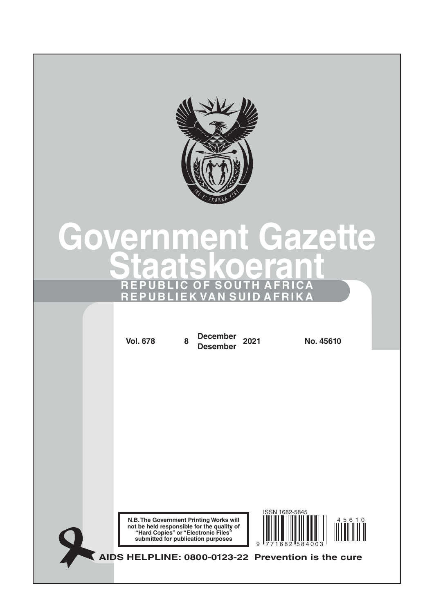

# **Government Gazette Staatskoerant REPUBLIC OF SOUTH AFRICA REPUBLIEK VAN SUID AFRIKA**

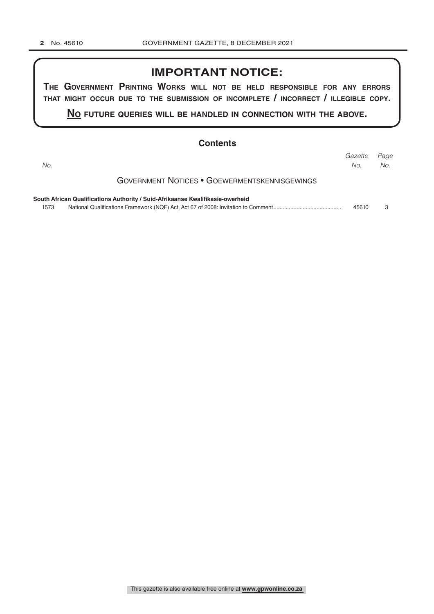### **IMPORTANT NOTICE:**

**The GovernmenT PrinTinG Works Will noT be held resPonsible for any errors ThaT miGhT occur due To The submission of incomPleTe / incorrecT / illeGible coPy.**

**no fuTure queries Will be handled in connecTion WiTh The above.**

|      | <b>Contents</b>                                                                |                |             |
|------|--------------------------------------------------------------------------------|----------------|-------------|
| No.  |                                                                                | Gazette<br>No. | Page<br>No. |
|      | <b>GOVERNMENT NOTICES • GOEWERMENTSKENNISGEWINGS</b>                           |                |             |
|      | South African Qualifications Authority / Suid-Afrikaanse Kwalifikasie-owerheid |                |             |
| 1573 |                                                                                | 45610          | З           |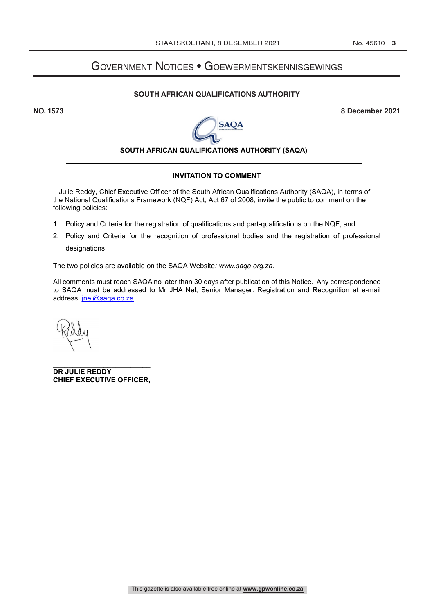## Government Notices • Goewermentskennisgewings

#### **SOUTH AFRICAN QUALIFICATIONS AUTHORITY**

**NO. 1573 8 December 2021**



#### **SOUTH AFRICAN QUALIFICATIONS AUTHORITY (SAQA)**

#### **INVITATION TO COMMENT**

I, Julie Reddy, Chief Executive Officer of the South African Qualifications Authority (SAQA), in terms of the National Qualifications Framework (NQF) Act, Act 67 of 2008, invite the public to comment on the following policies:

- 1. Policy and Criteria for the registration of qualifications and part-qualifications on the NQF, and
- 2. Policy and Criteria for the recognition of professional bodies and the registration of professional designations.

The two policies are available on the SAQA Website*: www.saqa.org.za.*

All comments must reach SAQA no later than 30 days after publication of this Notice. Any correspondence to SAQA must be addressed to Mr JHA Nel, Senior Manager: Registration and Recognition at e-mail address: jnel@saqa.co.za

\_\_\_\_\_\_\_\_\_\_\_\_\_\_\_\_\_\_\_\_\_\_\_\_\_ **DR JULIE REDDY CHIEF EXECUTIVE OFFICER,**